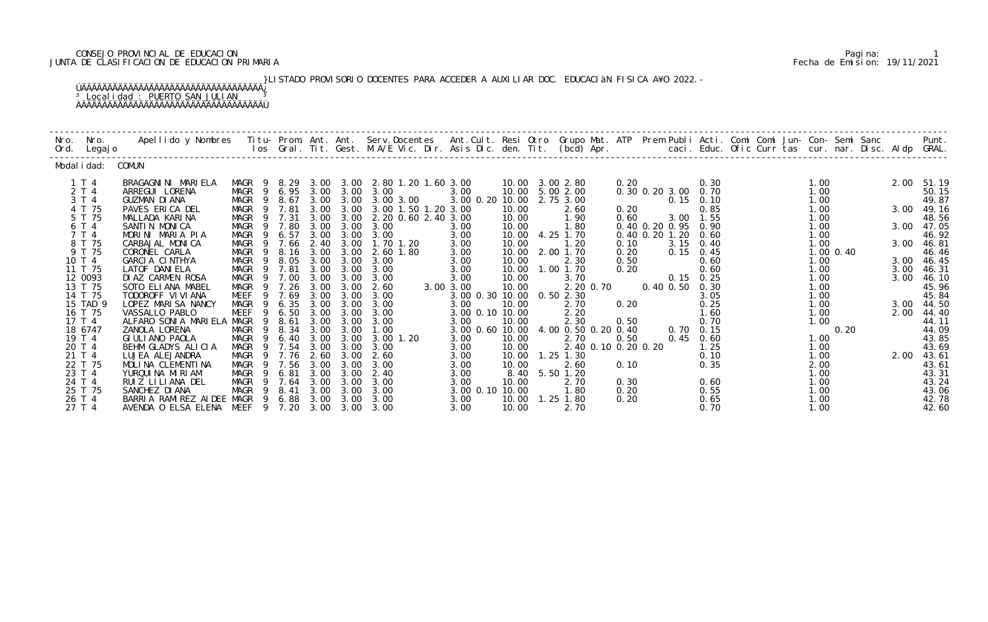# CONSEJO PROVINCIAL DE EDUCACION PARIMARIA DE EDUCACION PARIMARIA DE EDUCACION PARIMARIA DE ENCONSEJO PROVINCIA<br>JUNTA DE CLASIFICACION DE EDUCACION PRIMARIA Fecha de Emision: 19/11/2021 JUNTA DE CLASIFICACION DE EDUCACION PRIMARIA Fecha de Emision: 19/11/2021

 }LISTADO PROVISORIO DOCENTES PARA ACCEDER A AUXILIAR DOC. EDUCACIàN FISICA A¥O 2022.- ÚÄÄÄÄÄÄÄÄÄÄÄÄÄÄÄÄÄÄÄÄÄÄÄÄÄÄÄÄÄÄÄÄÄÄÄ¿ <sup>3</sup> Localidad : PUERTO SAN JULIAN <sup>3</sup> ÀÄÄÄÄÄÄÄÄÄÄÄÄÄÄÄÄÄÄÄÄÄÄÄÄÄÄÄÄÄÄÄÄÄÄÄÙ

| Nro. | Nro.<br>Ord. Legajo            | Apellido y Nombres  Titu- Prom. Ant. Ant. Serv.Docentes  Ant.Cult. Resi Otro Grupo Mat. ATP Prem Publi Acti. Comi Comi Jun- Con- Semi Sanc             Punt.<br>Ios Gral. Tit. Gest. M.A/E Vic. Dir. Asis Dic. den. Tit. (bcd) Ap |                                              |                       |                      |                      |                                                        |                                                      |                         |                                                 |                     |                      |                                    |                      |  |                           |              |                              |
|------|--------------------------------|-----------------------------------------------------------------------------------------------------------------------------------------------------------------------------------------------------------------------------------|----------------------------------------------|-----------------------|----------------------|----------------------|--------------------------------------------------------|------------------------------------------------------|-------------------------|-------------------------------------------------|---------------------|----------------------|------------------------------------|----------------------|--|---------------------------|--------------|------------------------------|
|      | Modal i dad:                   | COMUN                                                                                                                                                                                                                             |                                              |                       |                      |                      |                                                        |                                                      |                         |                                                 |                     |                      |                                    |                      |  |                           |              |                              |
|      | 1 T 4<br>2 T 4<br>3 T 4        | BRAGAGNINI MARIELA<br>ARREGUI LORENA<br><b>GUZMAN DI ANA</b>                                                                                                                                                                      | MAGR<br>-9<br>MAGR<br>- 9<br>MAGR<br>9       | 8. 29<br>6.95<br>8.67 | 3.00                 | 3.00<br>3.00 3.00    | 3.00 3.00 2.80 1.20 1.60 3.00<br>3.00<br>3.00 3.00     | 3.00<br>3.00 0.20 10.00                              |                         | 10.00 3.00 2.80<br>10.00 5.00 2.00<br>2.75 3.00 |                     | 0.20                 | 0.30 0.20 3.00 0.70<br>$0.15$ 0.10 | 0.30                 |  | 1.00<br>1.00<br>1.00      |              | 2.00 51.19<br>50.15<br>49.87 |
|      | 4 T 75<br>5 T 75<br>6 T 4      | PAVES ERICA DEL<br>MALLADA KARINA<br>SANTIN MONICA                                                                                                                                                                                | MAGR<br>-9<br>MAGR<br>-9<br>MAGR<br>9        | 7.81<br>7.31<br>7.80  | 3.00<br>3.00<br>3.00 | 3.00<br>3.00<br>3.00 | 3.00 1.50 1.20 3.00<br>2. 20 0. 60 2. 40 3. 00<br>3.00 | 3.00                                                 | 10.00<br>10.00<br>10.00 | 2.60<br>1.90<br>1.80                            |                     | 0.20<br>0.60         | 3.00 1.55<br>0.40 0.20 0.95 0.90   | 0.85                 |  | 1.00<br>1.00<br>1.00      | 3.00         | 49.16<br>48.56<br>3.00 47.05 |
|      | 7 T 4<br>8 T 75                | MORINI MARIA PIA<br>CARBAJAL MONICA                                                                                                                                                                                               | <b>MAGR</b><br>9<br>MAGR                     | 6.57<br>7.66          | 3.00<br>2.40         | 3.00<br>3.00         | 3.00<br>$1.70$ $1.20$                                  | 3.00<br>3.00                                         | 10.00<br>10.00          | 4.25 1.70<br>1.20                               |                     | 0.10                 | 0.40 0.20 1.20<br>$3.15$ 0.40      | 0.60                 |  | 1.00<br>1.00              | 3.00         | 46.92<br>46.81               |
|      | 9 T 75<br>10 T 4<br>11 T 75    | CORONEL CARLA<br>GARCIA CINTHYA<br>LATOF DANI ELA                                                                                                                                                                                 | <b>MAGR</b><br>9<br>MAGR<br>-9<br>9          | 8.16<br>8.05<br>7.81  | 3.00<br>3.00<br>3.00 | 3.00<br>3.00<br>3.00 | 2.60 1.80<br>3.00<br>3.00                              | 3.00<br>3.00                                         | 10.00<br>10.00<br>10.00 | 2.00 1.70<br>2.30<br>1.00 1.70                  |                     | 0.20<br>0.50<br>0.20 | $0.15$ 0.45                        | 0.60<br>0.60         |  | 1.00 0.40<br>1.00<br>1.00 | 3.00         | 46.46<br>46.45               |
|      | 12 0093<br>13 T 75             | DIAZ CARMEN ROSA<br>SOTO ELIANA MABEL                                                                                                                                                                                             | MAGR<br>MAGR<br>MAGR<br>-9                   | 7.00<br>7.26          | 3.00<br>3.00         | 3.00<br>3.00         | 3.00<br>2.60                                           | 3.00<br>3.00<br>3.00 3.00                            | 10.00<br>10.00          | 3.70                                            | 2.20 0.70           |                      | $0.15$ $0.25$<br>0.40 0.50         | 0.30                 |  | 1.00<br>1.00              | 3.00<br>3.00 | 46.31<br>46.10<br>45.96      |
|      | 14 T 75<br>15 TAD 9<br>16 T 75 | TODOROFF VI VI ANA<br>LOPEZ MARISA NANCY<br>VASSALLO PABLO                                                                                                                                                                        | <b>MEEF</b><br>9<br>MAGR<br>9<br>MEEF<br>9   | 7.69<br>6.35<br>6.50  | 3.00<br>3.00<br>3.00 | 3.00<br>3.00<br>3.00 | 3.00<br>3.00<br>3.00                                   | 3.00 0.30 10.00 0.50 2.30<br>3.00<br>3.00 0.10 10.00 | 10.00                   | 2.70<br>2.20                                    |                     | 0.20                 |                                    | 3.05<br>0.25<br>1.60 |  | 1.00<br>1.00<br>1.00      | 3.00<br>2.00 | 45.84<br>44.50<br>44.40      |
|      | 17T4<br>18 6747<br>19 T 4      | ALFARO SONIA MARIELA<br>ZANOLA LORENA<br>GI ULI ANO PAOLA                                                                                                                                                                         | MAGR<br>9<br>MAGR<br>- 9<br>MAGR<br>-9       | 8.61<br>8.34<br>6.40  | 3.00<br>3.00<br>3.00 | 3.00<br>3.00<br>3.00 | 3.00<br>1.00<br>$3.00$ 1.20                            | 3.00<br>3.00 0.60 10.00<br>3.00                      | 10.00<br>10.00          | 2.30<br>4.00 0.50 0.20 0.40<br>2.70             |                     | 0.50<br>0.50         | 0.70<br>0.45                       | 0.70<br>0.15<br>0.60 |  | 1.00<br>0.20<br>1.00      |              | 44.11<br>44.09<br>43.85      |
|      | 20 T 4<br>21 T 4<br>22 T 75    | BEHM GLADYS ALICIA<br>LUJEA ALEJANDRA<br>MOLINA CLEMENTINA                                                                                                                                                                        | MAGR<br>MAGR<br>- 9<br>MAGR<br>-9            | 7.54<br>7.76<br>7.56  | 3.00<br>2.60<br>3.00 | 3.00<br>3.00<br>3.00 | 3.00<br>2.60<br>3.00                                   | 3.00<br>3.00<br>3.00                                 | 10.00<br>10.00<br>10.00 | $1.25$ $1.30$<br>2.60                           | 2.40 0.10 0.20 0.20 | 0.10                 |                                    | 1.25<br>0.10<br>0.35 |  | 1.00<br>1.00<br>2.00      | 2.00         | 43.69<br>43.61<br>43.61      |
|      | 23 T 4<br>24 T 4<br>25 T 75    | YURQUINA MIRIAM<br>RUIZ LILIANA DEL<br>SANCHEZ DI ANA                                                                                                                                                                             | <b>MAGR</b><br>9<br>MAGR<br>- 9<br>MAGR<br>9 | 6.81<br>7.64<br>8.41  | 3.00<br>3.00<br>3.00 | 3.00<br>3.00<br>3.00 | 2.40<br>3.00<br>3.00                                   | 3.00<br>3.00<br>3.00 0.10 10.00                      | 8.40<br>10.00           | 5.50 1.20<br>2.70<br>1.80                       |                     | 0.30<br>0.20         |                                    | 0.60<br>0.55         |  | 1.00<br>1.00<br>1.00      |              | 43.31<br>43.24<br>43.06      |
|      | 26 T 4<br>27 T 4               | BARRIA RAMIREZ AIDEE MAGR<br>AVENDA O ELSA ELENA MEEF 9 7.20                                                                                                                                                                      | -9                                           | 6.88                  | 3.00<br>3.00         | 3.00<br>3.00         | 3.00<br>3.00                                           | 3.00<br>3.00                                         | 10.00<br>10.00          | $1.25$ 1.80<br>2.70                             |                     | 0.20                 |                                    | 0.65<br>0.70         |  | 1.00<br>1.00              |              | 42.78<br>42.60               |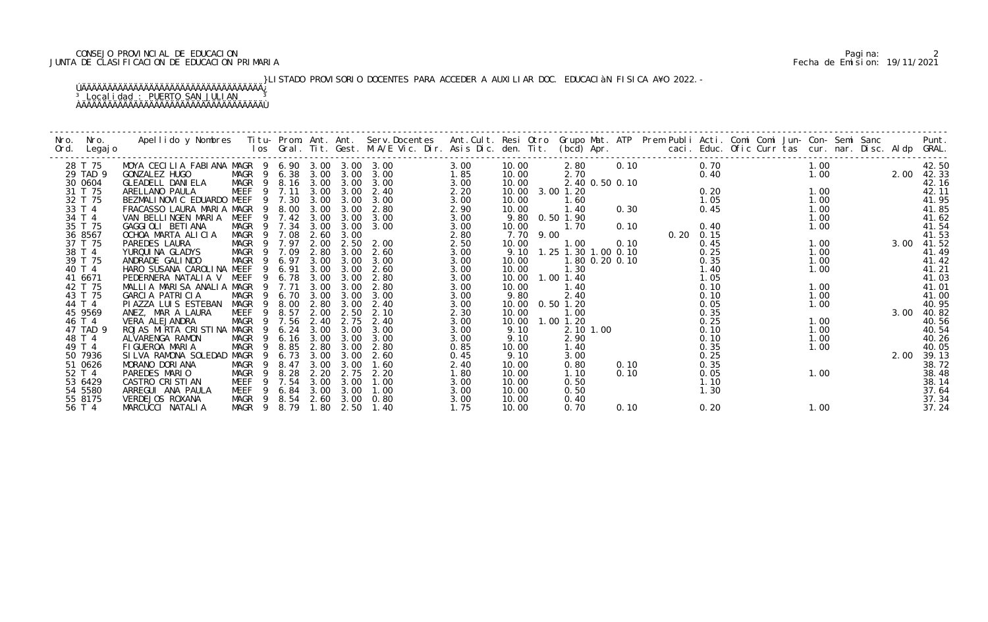# 2 CONSEJO PROVINCIAL DE EDUCACION<br>JUNTA DE CLASIFICACION DE EDUCACION PRIMARIA PERIMARIA PERIMARIA PERIMARIA PERIMARIA PERIMARIA PERIMARIA PARA JUNTA DE CLASIFICACION DE EDUCACION PRIMARIA Fecha de Emision: 19/11/2021

<sup>3</sup> Localidad : PUERTO SAN JULIAN <sup>3</sup> ÀÄÄÄÄÄÄÄÄÄÄÄÄÄÄÄÄÄÄÄÄÄÄÄÄÄÄÄÄÄÄÄÄÄÄÄÙ

# }LISTADO PROVISORIO DOCENTES PARA ACCEDER A AUXILIAR DOC. EDUCACIàN FISICA A¥O 2022.- ÚÄÄÄÄÄÄÄÄÄÄÄÄÄÄÄÄÄÄÄÄÄÄÄÄÄÄÄÄÄÄÄÄÄÄÄ¿

| Nro.<br>Nro.<br>Ord. Legajo   | Apellido y Nombres - Titu- Prom. Ant. Ant. Serv.Docentes - Ant.Cult. Resi Otro Grupo Mat. ATP Prem Publi Acti. Comi Comi Jun- Con- Semi Sanc - - Punt.<br>Ios Gral. Tit. Gest. M.A/E Vic. Dir. Asis Dic. den. Tit. (bcd) Apr. - - |                                                    |                                         |                      |                      |                      |                      |                         |      |                                    |                |                       |                      |  |      |                         |
|-------------------------------|-----------------------------------------------------------------------------------------------------------------------------------------------------------------------------------------------------------------------------------|----------------------------------------------------|-----------------------------------------|----------------------|----------------------|----------------------|----------------------|-------------------------|------|------------------------------------|----------------|-----------------------|----------------------|--|------|-------------------------|
| 28 T 75<br>29 TAD 9           | MOYA CECILIA FABIANA MAGR 9 6.90 3.00 3.00 3.00<br>GONZALEZ HUGO                                                                                                                                                                  |                                                    | MAGR 9 6.38 3.00                        |                      | 3.00                 | 3.00                 | 3.00<br>1.85         | 10.00<br>10.00          |      | 2.70                               | 2.80 0.10      | 0.70<br>0.40          | 1.00<br>1.00         |  |      | 42.50<br>2.00 42.33     |
| 30 0604<br>31 T 75<br>32 T 75 | GLEADELL DANIELA<br>ARELLANO PAULA<br>BEZMALINOVIC EDUARDO MEEF 9 7.30                                                                                                                                                            | <b>MEEF</b>                                        | MAGR 9 8.16 3.00<br>9 7.11              | 3.00<br>3.00         | 3.00<br>3.00<br>3.00 | 3.00<br>2.40<br>3.00 | 3.00<br>2.20<br>3.00 | 10.00<br>10.00          |      | 10.00 3.00 1.20<br>1.60            | 2.40 0.50 0.10 | 0.20<br>1.05          | 1.00<br>1.00         |  |      | 42.16<br>42.11<br>41.95 |
| 33 T 4<br>34 T 4<br>35 T 75   | FRACASSO LAURA MARIA MAGR<br>VAN BELLINGEN MARIA<br>GAGGIOLI BETIANA                                                                                                                                                              | - 9<br>MEEF                                        | 8.00<br>9 7.42<br>MAGR 9 7.34 3.00      | 3.00<br>3.00         | 3.00<br>3.00<br>3.00 | 2.80<br>3.00<br>3.00 | 2.90<br>3.00<br>3.00 | 10.00<br>10.00          |      | 1.40<br>9.80 0.50 1.90<br>1.70     | 0.30<br>0.10   | 0.45<br>0.40          | 1.00<br>1.00<br>1.00 |  |      | 41.85<br>41.62<br>41.54 |
| 36 8567<br>37 T 75            | OCHOA MARTA ALICIA<br>PAREDES LAURA                                                                                                                                                                                               | MAGR<br>MAGR 9                                     | 9 7.08<br>7.97                          | 2.60<br>2.00         | 3.00<br>2.50         | 2.00                 | 2.80<br>2.50         | 7.70<br>10.00           | 9.00 | 1.00                               | 0.10           | $0.20$ $0.15$<br>0.45 | 1.00                 |  | 3.00 | 41.53<br>41.52          |
| 38 T 4<br>39 T 75<br>40 T 4   | YURQUI NA GLADYS<br>ANDRADE GALINDO<br>HARO SUSANA CAROLINA MEEF                                                                                                                                                                  | MAGR<br>MAGR                                       | 9 7.09<br>9 6.97<br>9 6.91              | 2.80<br>3.00<br>3.00 | 3.00<br>3.00<br>3.00 | 2.60<br>3.00<br>2.60 | 3.00<br>3.00<br>3.00 | 9.10<br>10.00<br>10.00  |      | 1.25 1.30 1.00 0.10<br>1.30        | 1.80 0.20 0.10 | 0.25<br>0.35<br>1.40  | 1.00<br>1.00<br>1.00 |  |      | 41.49<br>41.42<br>41.21 |
| 41 6671<br>42 T 75<br>43 T 75 | PEDERNERA NATALIA V MEEF<br>MALLIA MARISA ANALIA MAGR<br>GARCIA PATRICIA                                                                                                                                                          | MAGR                                               | 9 6.78<br>9 7.71<br>9 6.70              | 3.00<br>3.00<br>3.00 | 3.00<br>3.00<br>3.00 | 2.80<br>2.80<br>3.00 | 3.00<br>3.00<br>3.00 | 10.00<br>10.00<br>9.80  |      | 1.00 1.40<br>1.40<br>2.40          |                | 1.05<br>0.10<br>0.10  | 1.00<br>1.00         |  |      | 41.03<br>41.01<br>41.00 |
| 44 T 4<br>45 9569             | PI AZZA LUI S ESTEBAN<br>ANEZ, MAR A LAURA                                                                                                                                                                                        | MAGR<br>MEEF<br>9                                  | 9 8.00<br>8.57                          | 2.80<br>2.00         | 3.00<br>2.50         | 2.40<br>2.10         | 3.00<br>2.30         | 10.00                   |      | 10.00  0.50  1.20<br>1.00          |                | 0.05<br>0.35          | 1.00                 |  | 3.00 | 40.95<br>40.82          |
| 46 T 4<br>47 TAD 9<br>48 T 4  | VERA ALEJANDRA<br>ROJAS MIRTA CRISTINA MAGR<br>ALVARENGA RAMON                                                                                                                                                                    | MAGR<br>$\overline{9}$<br>-9<br>MAGR 9             | 7.56<br>6.24<br>$6.16$ $3.00$           | 2.40<br>3.00         | 2.75<br>3.00<br>3.00 | 2.40<br>3.00<br>3.00 | 3.00<br>3.00<br>3.00 | 10.00<br>9.10<br>9.10   |      | $1.00$ $1.20$<br>2.10 1.00<br>2.90 |                | 0.25<br>0.10<br>0.10  | 1.00<br>1.00<br>1.00 |  |      | 40.56<br>40.54<br>40.26 |
| 49 T 4<br>50 7936             | FIGUEROA MARIA<br>SILVA RAMONA SOLEDAD MAGR                                                                                                                                                                                       | MAGR<br>-9<br>- 9                                  | 8.85<br>6.73                            | 2.80<br>3.00         | 3.00<br>3.00         | 2.80<br>2.60         | 0.85<br>0.45         | 10.00<br>9.10           |      | 1.40<br>3.00                       |                | 0.35<br>0.25          | 1.00                 |  | 2.00 | 40.05<br>39.13          |
| 51 0626<br>52 T 4<br>53 6429  | MORANO DORIANA<br>PAREDES MARIO<br>CASTRO CRISTIAN                                                                                                                                                                                | MAGR<br>- 9<br>MAGR<br>$\overline{9}$<br>MEEF<br>9 | 8.47<br>8.28<br>7.54                    | 3.00<br>2.20<br>3.00 | 3.00<br>2.75<br>3.00 | 1.60<br>2.20<br>1.00 | 2.40<br>1.80<br>3.00 | 10.00<br>10.00<br>10.00 |      | 0.80<br>1.10<br>0.50               | 0.10<br>0.10   | 0.35<br>0.05<br>1.10  | 1.00                 |  |      | 38.72<br>38.48<br>38.14 |
| 54 5580<br>55 8175<br>56 T 4  | ARREGUI ANA PAULA<br><b>VERDEJOS ROXANA</b><br>MARCUCCI NATALIA                                                                                                                                                                   | MEEF<br>9<br>MAGR                                  | 6.84<br>9 8.54 2.60 3.00<br>MAGR 9 8.79 | 3.00                 | 3.00<br>1.80 2.50    | 1.00<br>0.80<br>1.40 | 3.00<br>3.00<br>1.75 | 10.00<br>10.00<br>10.00 |      | 0.50<br>0.40<br>0.70               | 0.10           | 1.30<br>0.20          | 1.00                 |  |      | 37.64<br>37.34<br>37.24 |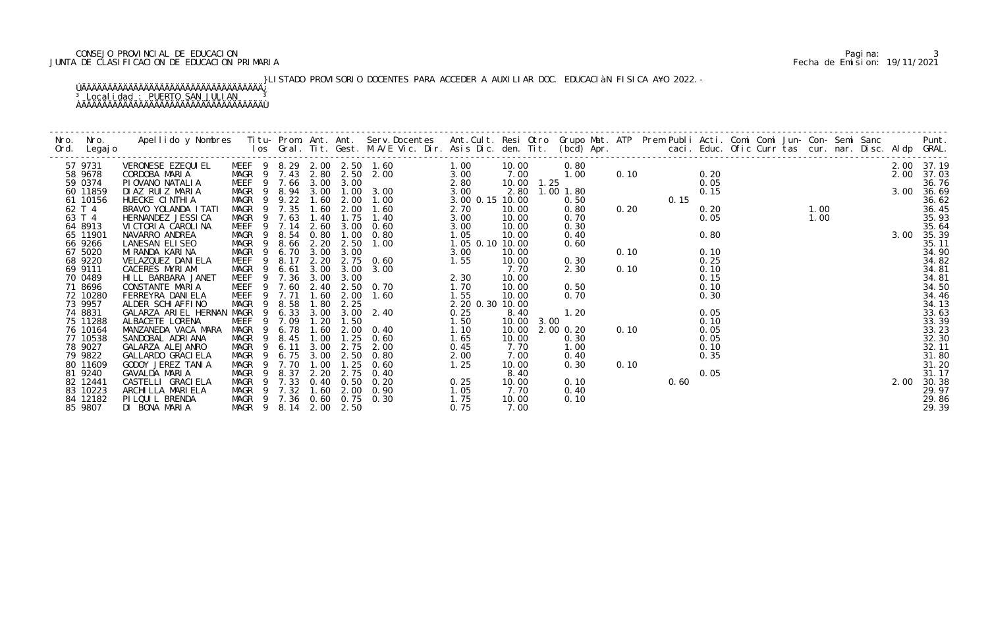# CONSEJO PROVINCIAL DE EDUCACION PROVINCIAL DE EDUCACION POSTADO PROVINCIAL DE EDUCACION PRIMARIA CONSEJO PROVI<br>JUNTA DE CLASIFICACION DE EDUCACION PRIMARIA Fecha de Emision: 19/11/2021 JUNTA DE CLASIFICACION DE EDUCACION PRIMARIA Fecha de Emision: 19/11/2021

 }LISTADO PROVISORIO DOCENTES PARA ACCEDER A AUXILIAR DOC. EDUCACIàN FISICA A¥O 2022.- ÚÄÄÄÄÄÄÄÄÄÄÄÄÄÄÄÄÄÄÄÄÄÄÄÄÄÄÄÄÄÄÄÄÄÄÄ¿ <sup>3</sup> Localidad : PUERTO SAN JULIAN <sup>3</sup> ÀÄÄÄÄÄÄÄÄÄÄÄÄÄÄÄÄÄÄÄÄÄÄÄÄÄÄÄÄÄÄÄÄÄÄÄÙ

| Nro. Nro.<br>Ord. Legajo        | Apellido y Nombres Titu- Prom. Ant. Ant. Serv.Docentes Ant.Cult. Resi Otro Grupo Mat. ATP Prem Publi Acti. Comi Comi Jun- Con- Semi Sanc Punt.<br>Ios Gral. Tit. Gest. M.A/E Vic. Dir. Asis Dic. den. Tit. (bcd) Apr. |                                                                 |                |              |                   |                                                                                                                                                                                                                                        |                            |                        |                                                                                                                                                                                                                                                                                                                                       |      |      |                      |  |  |  |      |                                  |
|---------------------------------|-----------------------------------------------------------------------------------------------------------------------------------------------------------------------------------------------------------------------|-----------------------------------------------------------------|----------------|--------------|-------------------|----------------------------------------------------------------------------------------------------------------------------------------------------------------------------------------------------------------------------------------|----------------------------|------------------------|---------------------------------------------------------------------------------------------------------------------------------------------------------------------------------------------------------------------------------------------------------------------------------------------------------------------------------------|------|------|----------------------|--|--|--|------|----------------------------------|
| 57 9731<br>58 9678<br>59 0374   | VERONESE EZEQUI EL<br>CORDOBA MARIA<br>PIOVANO NATALIA                                                                                                                                                                |                                                                 |                |              |                   | MEEF 9 8.29 2.00 2.50 1.60 1.00 10.00 1.25<br>MEGR 9 7.43 2.80 2.00 3.00 2.80 10.00 1.25<br>MAGR 9 8.94 3.00 1.00 3.00 3.00 2.80 10.00 1.25<br>MAGR 9 9.22 1.60 2.00 1.00 3.00 2.80 10.00 1.25<br>MAGR 9 7.35 1.60 2.00 1.60 2.70 10.0 |                            |                        | $\begin{array}{ccccccccc} 0.80 & & & & & & & 2.0 \\ 0.80 & & & & & & & 2.0 \\ 1.25 & & & & & & 0.20 & & 2.0 \\ 1.25 & & & & & 0.05 & & & 3.0 \\ 1.00 & 1.80 & & & & 0.15 & & 3.0 \\ 0.50 & & & & & 0.15 & & 3.0 \\ 0.80 & & & & 0.20 & & 0.20 & & 1.00 \\ 0.70 & & & & & 0.05 & & 1.00 & & & 3.0 \\ 0.30 & & & & & & 0.99 & & & 3 & $ |      |      |                      |  |  |  | 2.00 | 2.00 37.19<br>37.03<br>36.76     |
| 60 11859<br>61 10156<br>62 T 4  | DIAZ RUIZ MARIA<br>HUECKE CINTHIA<br>BRAVO YOLANDA I TATI                                                                                                                                                             |                                                                 |                |              |                   |                                                                                                                                                                                                                                        |                            |                        |                                                                                                                                                                                                                                                                                                                                       |      |      |                      |  |  |  | 3.00 | 36.69<br>36.62<br>36.45          |
| 63 T 4<br>64 8913<br>65 11901   | HERNANDEZ JESSI CA<br>VICTORIA CAROLINA<br>NAVARRO ANDREA                                                                                                                                                             |                                                                 |                |              |                   |                                                                                                                                                                                                                                        |                            |                        | 0.40                                                                                                                                                                                                                                                                                                                                  |      |      | 0.80                 |  |  |  | 3.00 | 35.93<br>35.64<br>35.39          |
| 66 9266<br>67 5020              | LANESAN ELISEO<br>MI RANDA KARI NA                                                                                                                                                                                    | MAGR <sub>9</sub>                                               | 6.70           |              |                   |                                                                                                                                                                                                                                        |                            | 10.00                  | 0.60                                                                                                                                                                                                                                                                                                                                  | 0.10 |      | 0.10                 |  |  |  |      | 35.11<br>34.90                   |
| 68 9220<br>69 9111<br>70 0489   | VELAZQUEZ DANI ELA<br>CACERES MYRIAM<br>HILL BARBARA JANET                                                                                                                                                            | MEEF <sub>9</sub><br>MAGR <sub>9</sub><br>MEEF 9 7.36 3.00 3.00 | 8.17           |              |                   | 2. 20 3. 00<br>2. 20 2. 75 0. 60<br>3. 00 3. 00 3. 00<br>3. 00 3. 00<br>40 2. 50 0. 70<br>60 2. 00 1. 60<br>6.61 3.00 3.00 3.00                                                                                                        |                            | 10.00<br>7.70<br>10.00 | 0.30<br>2.30                                                                                                                                                                                                                                                                                                                          | 0.10 |      | 0.25<br>0.10<br>0.15 |  |  |  |      | 34.82<br>34.81<br>34.81          |
| 71 8696<br>72 10280<br>73 9957  | CONSTANTE MARIA<br>FERREYRA DANI ELA<br>ALDER SCHIAFFINO                                                                                                                                                              | MEEF 9 7.60 2.40 2.50 0.70<br>MEEF 9 7.71<br>MAGR 9             | 8.58           | 1.60<br>1.80 | 2.00<br>2.25      |                                                                                                                                                                                                                                        | 1.55<br>2. 20 0. 30 10. 00 | 10.00<br>10.00         | 0.50<br>$\begin{array}{ccc}\n & 1.20 \\  & 2.00 & 0.20 \\  & 0.30 & 0.30\n\end{array}$                                                                                                                                                                                                                                                |      |      | 0.10<br>0.30         |  |  |  |      | 34.50<br>34.46<br>34.13          |
| 74 8831<br>75 11288<br>76 10164 | GALARZA ARIEL HERNAN MAGR 9 6.33 3.00 3.00 2.40<br>ALBACETE LORENA<br>MANZANEDA VACA MARA                                                                                                                             | MEEF<br>MAGR<br>- 9                                             | 9 7.09<br>6.78 | 1.20<br>1.60 | 1.50              | $2.40$<br>$30$<br>$-00$<br>$0.40$<br>$-60$<br>$-60$<br>$1.50$<br>$1.7$<br>2.00 0.40                                                                                                                                                    |                            | 8.40<br>10.00<br>10.00 |                                                                                                                                                                                                                                                                                                                                       |      |      | 0.05<br>0.10<br>0.05 |  |  |  |      | 33.63<br>33.39                   |
| 77 10538<br>78 9027<br>79 9822  | SANDOBAL ADRIANA<br>GALARZA ALEJANRO<br>GALLARDO GRACI ELA                                                                                                                                                            | MAGR 9<br>MAGR 9<br>MAGR <sub>9</sub>                           | 8.45<br>6.11   | 1.00         | 1.25<br>3.00 2.75 | 2.00                                                                                                                                                                                                                                   | 0.45<br>2.00               | 10.00<br>7.70<br>7.00  | 1.00<br>0.40                                                                                                                                                                                                                                                                                                                          |      |      | 0.05<br>0.10<br>0.35 |  |  |  |      | 33.23<br>32.30<br>32.11          |
| 80 11609<br>81 9240<br>82 12441 | GODOY JEREZ TANIA<br>GAVALDA MARIA<br>CASTELLI GRACI ELA                                                                                                                                                              | MAGR <sub>9</sub><br>MAGR <sub>9</sub><br>MAGR 9 7.33           | 7.70<br>8.37   | 2.20         |                   | 2.75 0.40<br>0.40 0.50 0.20                                                                                                                                                                                                            | 1.25<br>0.25               | 10.00<br>8.40<br>10.00 | 0.30<br>0.10                                                                                                                                                                                                                                                                                                                          | 0.10 | 0.60 | 0.05                 |  |  |  | 2.00 | 31.80<br>31.20<br>31.17<br>30.38 |
| 83 10223<br>84 12182<br>85 9807 | ARCHI LLA MARI ELA<br>PI LQUI L BRENDA<br>DI BONA MARIA                                                                                                                                                               | MAGR 9 7.32<br>MAGR 9 7.36 0.60 0.75 0.30<br>MAGR 9 8.14        |                |              | 2.00 2.50         | 1.60 2.00 0.90<br>1. 05<br>1. 75                                                                                                                                                                                                       | 0.75                       | 7.70<br>10.00<br>7.00  | 0.40<br>0.10                                                                                                                                                                                                                                                                                                                          |      |      |                      |  |  |  |      | 29.97<br>29.86<br>29.39          |